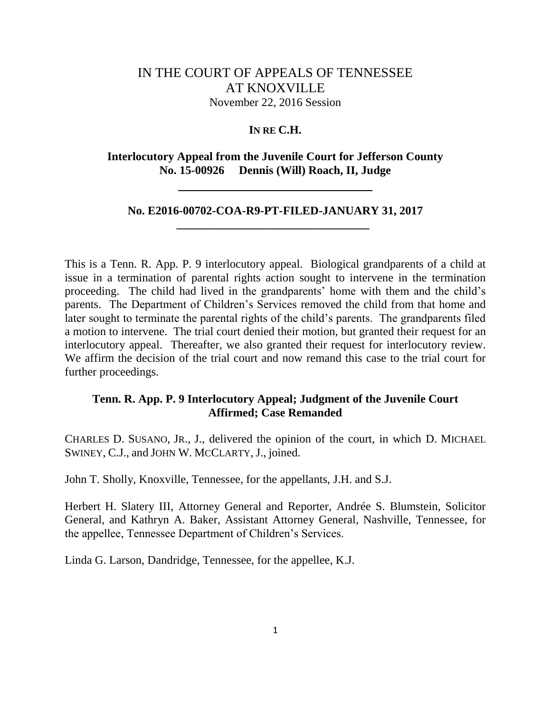# IN THE COURT OF APPEALS OF TENNESSEE AT KNOXVILLE November 22, 2016 Session

## **IN RE C.H.**

# **Interlocutory Appeal from the Juvenile Court for Jefferson County No. 15-00926 Dennis (Will) Roach, II, Judge**

### **No. E2016-00702-COA-R9-PT-FILED-JANUARY 31, 2017**

 **\_\_\_\_\_\_\_\_\_\_\_\_\_\_\_\_\_\_\_\_\_\_\_\_\_\_\_\_\_\_\_\_\_**

This is a Tenn. R. App. P. 9 interlocutory appeal. Biological grandparents of a child at issue in a termination of parental rights action sought to intervene in the termination proceeding. The child had lived in the grandparents' home with them and the child's parents. The Department of Children's Services removed the child from that home and later sought to terminate the parental rights of the child"s parents. The grandparents filed a motion to intervene. The trial court denied their motion, but granted their request for an interlocutory appeal. Thereafter, we also granted their request for interlocutory review. We affirm the decision of the trial court and now remand this case to the trial court for further proceedings.

# **Tenn. R. App. P. 9 Interlocutory Appeal; Judgment of the Juvenile Court Affirmed; Case Remanded**

CHARLES D. SUSANO, JR., J., delivered the opinion of the court, in which D. MICHAEL SWINEY, C.J., and JOHN W. MCCLARTY, J., joined.

John T. Sholly, Knoxville, Tennessee, for the appellants, J.H. and S.J.

Herbert H. Slatery III, Attorney General and Reporter, Andrée S. Blumstein, Solicitor General, and Kathryn A. Baker, Assistant Attorney General, Nashville, Tennessee, for the appellee, Tennessee Department of Children"s Services.

Linda G. Larson, Dandridge, Tennessee, for the appellee, K.J.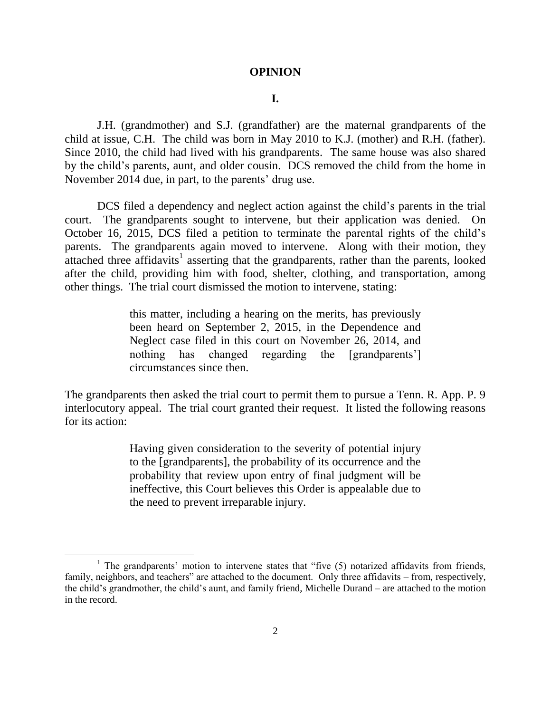#### **OPINION**

#### **I.**

J.H. (grandmother) and S.J. (grandfather) are the maternal grandparents of the child at issue, C.H. The child was born in May 2010 to K.J. (mother) and R.H. (father). Since 2010, the child had lived with his grandparents. The same house was also shared by the child"s parents, aunt, and older cousin. DCS removed the child from the home in November 2014 due, in part, to the parents' drug use.

DCS filed a dependency and neglect action against the child"s parents in the trial court. The grandparents sought to intervene, but their application was denied. On October 16, 2015, DCS filed a petition to terminate the parental rights of the child"s parents. The grandparents again moved to intervene. Along with their motion, they attached three affidavits<sup>1</sup> asserting that the grandparents, rather than the parents, looked after the child, providing him with food, shelter, clothing, and transportation, among other things. The trial court dismissed the motion to intervene, stating:

> this matter, including a hearing on the merits, has previously been heard on September 2, 2015, in the Dependence and Neglect case filed in this court on November 26, 2014, and nothing has changed regarding the [grandparents"] circumstances since then.

The grandparents then asked the trial court to permit them to pursue a Tenn. R. App. P. 9 interlocutory appeal. The trial court granted their request. It listed the following reasons for its action:

> Having given consideration to the severity of potential injury to the [grandparents], the probability of its occurrence and the probability that review upon entry of final judgment will be ineffective, this Court believes this Order is appealable due to the need to prevent irreparable injury.

 $\overline{\phantom{a}}$ 

<sup>&</sup>lt;sup>1</sup> The grandparents' motion to intervene states that "five  $(5)$  notarized affidavits from friends, family, neighbors, and teachers" are attached to the document. Only three affidavits – from, respectively, the child"s grandmother, the child"s aunt, and family friend, Michelle Durand – are attached to the motion in the record.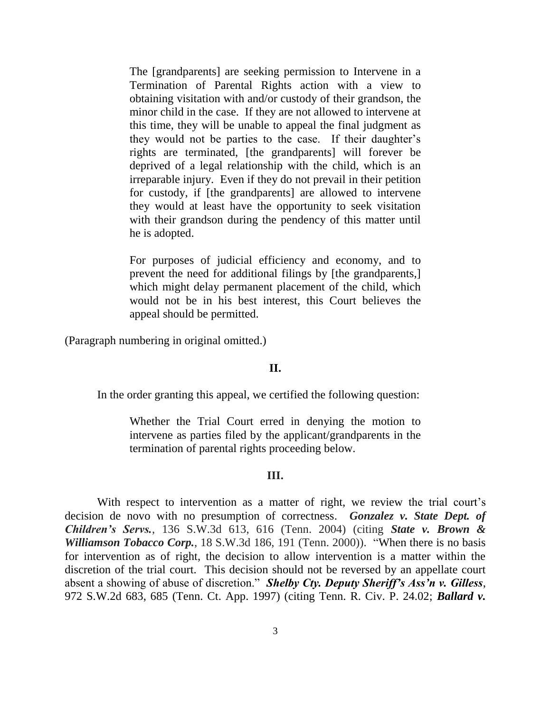The [grandparents] are seeking permission to Intervene in a Termination of Parental Rights action with a view to obtaining visitation with and/or custody of their grandson, the minor child in the case. If they are not allowed to intervene at this time, they will be unable to appeal the final judgment as they would not be parties to the case. If their daughter"s rights are terminated, [the grandparents] will forever be deprived of a legal relationship with the child, which is an irreparable injury. Even if they do not prevail in their petition for custody, if [the grandparents] are allowed to intervene they would at least have the opportunity to seek visitation with their grandson during the pendency of this matter until he is adopted.

For purposes of judicial efficiency and economy, and to prevent the need for additional filings by [the grandparents,] which might delay permanent placement of the child, which would not be in his best interest, this Court believes the appeal should be permitted.

(Paragraph numbering in original omitted.)

#### **II.**

In the order granting this appeal, we certified the following question:

Whether the Trial Court erred in denying the motion to intervene as parties filed by the applicant/grandparents in the termination of parental rights proceeding below.

# **III.**

With respect to intervention as a matter of right, we review the trial court's decision de novo with no presumption of correctness. *Gonzalez v. State Dept. of Children's Servs.*, 136 S.W.3d 613, 616 (Tenn. 2004) (citing *State v. Brown & Williamson Tobacco Corp.*, 18 S.W.3d 186, 191 (Tenn. 2000)). "When there is no basis for intervention as of right, the decision to allow intervention is a matter within the discretion of the trial court. This decision should not be reversed by an appellate court absent a showing of abuse of discretion." *Shelby Cty. Deputy Sheriff's Ass'n v. Gilless*, 972 S.W.2d 683, 685 (Tenn. Ct. App. 1997) (citing Tenn. R. Civ. P. 24.02; *Ballard v.*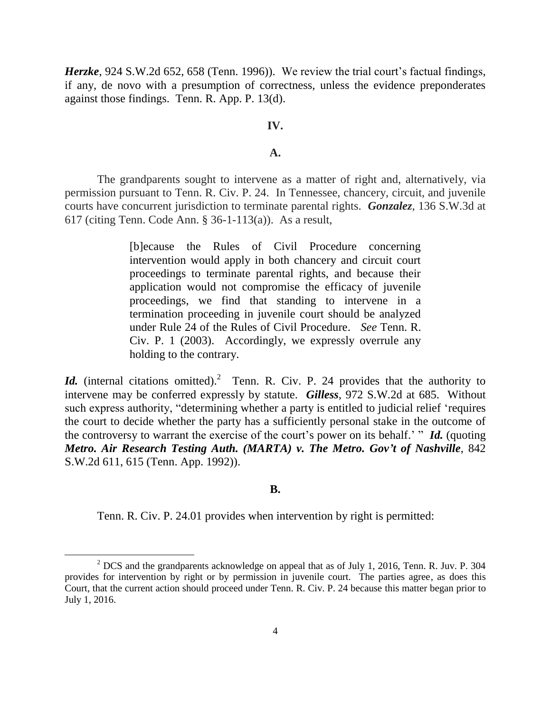*Herzke*, 924 S.W.2d 652, 658 (Tenn. 1996)). We review the trial court's factual findings, if any, de novo with a presumption of correctness, unless the evidence preponderates against those findings. Tenn. R. App. P. 13(d).

#### **IV.**

# **A.**

The grandparents sought to intervene as a matter of right and, alternatively, via permission pursuant to Tenn. R. Civ. P. 24. In Tennessee, chancery, circuit, and juvenile courts have concurrent jurisdiction to terminate parental rights. *Gonzalez*, 136 S.W.3d at 617 (citing Tenn. Code Ann. § 36-1-113(a)). As a result,

> [b]ecause the Rules of Civil Procedure concerning intervention would apply in both chancery and circuit court proceedings to terminate parental rights, and because their application would not compromise the efficacy of juvenile proceedings, we find that standing to intervene in a termination proceeding in juvenile court should be analyzed under Rule 24 of the Rules of Civil Procedure. *See* Tenn. R. Civ. P. 1 (2003). Accordingly, we expressly overrule any holding to the contrary.

Id. (internal citations omitted).<sup>2</sup> Tenn. R. Civ. P. 24 provides that the authority to intervene may be conferred expressly by statute. *Gilless*, 972 S.W.2d at 685. Without such express authority, "determining whether a party is entitled to judicial relief "requires the court to decide whether the party has a sufficiently personal stake in the outcome of the controversy to warrant the exercise of the court's power on its behalf." " *Id.* (quoting *Metro. Air Research Testing Auth. (MARTA) v. The Metro. Gov't of Nashville*, 842 S.W.2d 611, 615 (Tenn. App. 1992)).

#### **B.**

Tenn. R. Civ. P. 24.01 provides when intervention by right is permitted:

 $\overline{\phantom{a}}$ 

 $2^{2}$  DCS and the grandparents acknowledge on appeal that as of July 1, 2016, Tenn. R. Juv. P. 304 provides for intervention by right or by permission in juvenile court. The parties agree, as does this Court, that the current action should proceed under Tenn. R. Civ. P. 24 because this matter began prior to July 1, 2016.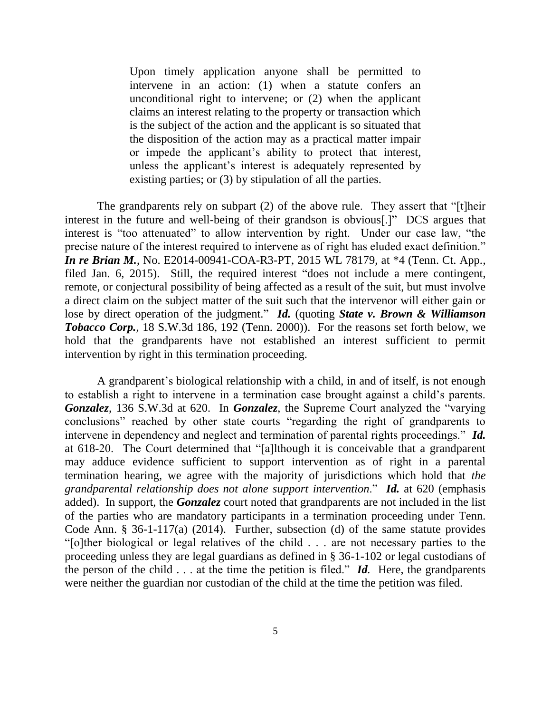Upon timely application anyone shall be permitted to intervene in an action: (1) when a statute confers an unconditional right to intervene; or (2) when the applicant claims an interest relating to the property or transaction which is the subject of the action and the applicant is so situated that the disposition of the action may as a practical matter impair or impede the applicant"s ability to protect that interest, unless the applicant"s interest is adequately represented by existing parties; or (3) by stipulation of all the parties.

The grandparents rely on subpart (2) of the above rule. They assert that "[t]heir interest in the future and well-being of their grandson is obvious[.]" DCS argues that interest is "too attenuated" to allow intervention by right. Under our case law, "the precise nature of the interest required to intervene as of right has eluded exact definition." *In re Brian M.*, No. E2014-00941-COA-R3-PT, 2015 WL 78179, at \*4 (Tenn. Ct. App., filed Jan. 6, 2015). Still, the required interest "does not include a mere contingent, remote, or conjectural possibility of being affected as a result of the suit, but must involve a direct claim on the subject matter of the suit such that the intervenor will either gain or lose by direct operation of the judgment." *Id.* (quoting *State v. Brown & Williamson Tobacco Corp.*, 18 S.W.3d 186, 192 (Tenn. 2000)). For the reasons set forth below, we hold that the grandparents have not established an interest sufficient to permit intervention by right in this termination proceeding.

A grandparent"s biological relationship with a child, in and of itself, is not enough to establish a right to intervene in a termination case brought against a child"s parents. *Gonzalez*, 136 S.W.3d at 620. In *Gonzalez*, the Supreme Court analyzed the "varying conclusions" reached by other state courts "regarding the right of grandparents to intervene in dependency and neglect and termination of parental rights proceedings." *Id.* at 618-20. The Court determined that "[a]lthough it is conceivable that a grandparent may adduce evidence sufficient to support intervention as of right in a parental termination hearing, we agree with the majority of jurisdictions which hold that *the grandparental relationship does not alone support intervention*." *Id.* at 620 (emphasis added). In support, the *Gonzalez* court noted that grandparents are not included in the list of the parties who are mandatory participants in a termination proceeding under Tenn. Code Ann. § 36-1-117(a) (2014). Further, subsection (d) of the same statute provides "[o]ther biological or legal relatives of the child . . . are not necessary parties to the proceeding unless they are legal guardians as defined in § 36-1-102 or legal custodians of the person of the child . . . at the time the petition is filed." *Id.* Here, the grandparents were neither the guardian nor custodian of the child at the time the petition was filed.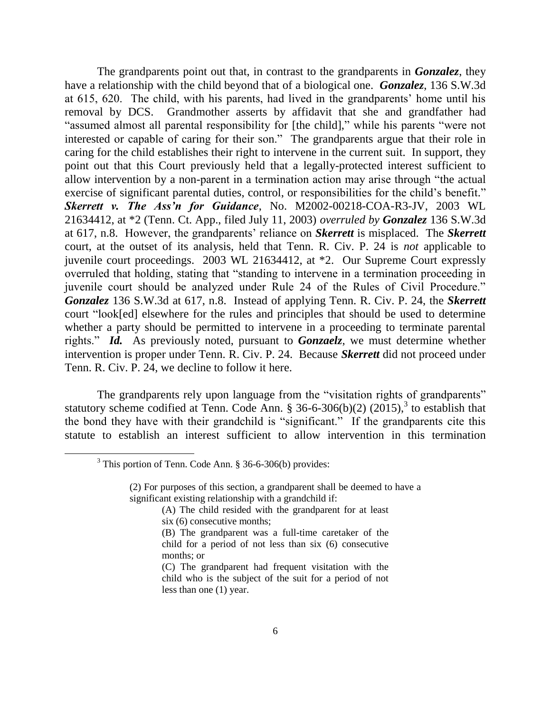The grandparents point out that, in contrast to the grandparents in *Gonzalez*, they have a relationship with the child beyond that of a biological one. *Gonzalez*, 136 S.W.3d at 615, 620. The child, with his parents, had lived in the grandparents" home until his removal by DCS. Grandmother asserts by affidavit that she and grandfather had "assumed almost all parental responsibility for [the child]," while his parents "were not interested or capable of caring for their son." The grandparents argue that their role in caring for the child establishes their right to intervene in the current suit. In support, they point out that this Court previously held that a legally-protected interest sufficient to allow intervention by a non-parent in a termination action may arise through "the actual exercise of significant parental duties, control, or responsibilities for the child's benefit." *Skerrett v. The Ass'n for Guidance*, No. M2002-00218-COA-R3-JV, 2003 WL 21634412, at \*2 (Tenn. Ct. App., filed July 11, 2003) *overruled by Gonzalez* 136 S.W.3d at 617, n.8. However, the grandparents' reliance on *Skerrett* is misplaced. The *Skerrett* court, at the outset of its analysis, held that Tenn. R. Civ. P. 24 is *not* applicable to juvenile court proceedings. 2003 WL 21634412, at \*2. Our Supreme Court expressly overruled that holding, stating that "standing to intervene in a termination proceeding in juvenile court should be analyzed under Rule 24 of the Rules of Civil Procedure." *Gonzalez* 136 S.W.3d at 617, n.8. Instead of applying Tenn. R. Civ. P. 24, the *Skerrett*  court "look[ed] elsewhere for the rules and principles that should be used to determine whether a party should be permitted to intervene in a proceeding to terminate parental rights." *Id.* As previously noted, pursuant to *Gonzaelz*, we must determine whether intervention is proper under Tenn. R. Civ. P. 24. Because *Skerrett* did not proceed under Tenn. R. Civ. P. 24, we decline to follow it here.

The grandparents rely upon language from the "visitation rights of grandparents" statutory scheme codified at Tenn. Code Ann.  $\S 36-6-306(b)(2)$  (2015),<sup>3</sup> to establish that the bond they have with their grandchild is "significant." If the grandparents cite this statute to establish an interest sufficient to allow intervention in this termination

l

- (A) The child resided with the grandparent for at least six (6) consecutive months;
- (B) The grandparent was a full-time caretaker of the child for a period of not less than six (6) consecutive months; or
- (C) The grandparent had frequent visitation with the child who is the subject of the suit for a period of not less than one (1) year.

 $3$  This portion of Tenn. Code Ann. § 36-6-306(b) provides:

<sup>(2)</sup> For purposes of this section, a grandparent shall be deemed to have a significant existing relationship with a grandchild if: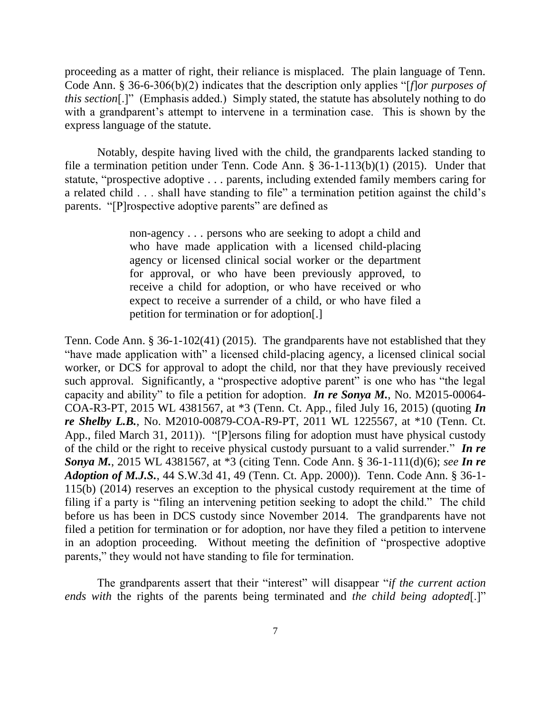proceeding as a matter of right, their reliance is misplaced. The plain language of Tenn. Code Ann. § 36-6-306(b)(2) indicates that the description only applies "[*f*]*or purposes of this section*[.]" (Emphasis added.) Simply stated, the statute has absolutely nothing to do with a grandparent's attempt to intervene in a termination case. This is shown by the express language of the statute.

Notably, despite having lived with the child, the grandparents lacked standing to file a termination petition under Tenn. Code Ann. § 36-1-113(b)(1) (2015). Under that statute, "prospective adoptive . . . parents, including extended family members caring for a related child . . . shall have standing to file" a termination petition against the child"s parents. "[P]rospective adoptive parents" are defined as

> non-agency . . . persons who are seeking to adopt a child and who have made application with a licensed child-placing agency or licensed clinical social worker or the department for approval, or who have been previously approved, to receive a child for adoption, or who have received or who expect to receive a surrender of a child, or who have filed a petition for termination or for adoption[.]

Tenn. Code Ann. § 36-1-102(41) (2015). The grandparents have not established that they "have made application with" a licensed child-placing agency, a licensed clinical social worker, or DCS for approval to adopt the child, nor that they have previously received such approval. Significantly, a "prospective adoptive parent" is one who has "the legal capacity and ability" to file a petition for adoption. *In re Sonya M.*, No. M2015-00064- COA-R3-PT, 2015 WL 4381567, at \*3 (Tenn. Ct. App., filed July 16, 2015) (quoting *In re Shelby L.B.*, No. M2010-00879-COA-R9-PT, 2011 WL 1225567, at \*10 (Tenn. Ct. App., filed March 31, 2011)). "[P]ersons filing for adoption must have physical custody of the child or the right to receive physical custody pursuant to a valid surrender." *In re Sonya M.*, 2015 WL 4381567, at \*3 (citing Tenn. Code Ann. § 36-1-111(d)(6); *see In re Adoption of M.J.S.*, 44 S.W.3d 41, 49 (Tenn. Ct. App. 2000)). Tenn. Code Ann. § 36-1-115(b) (2014) reserves an exception to the physical custody requirement at the time of filing if a party is "filing an intervening petition seeking to adopt the child." The child before us has been in DCS custody since November 2014. The grandparents have not filed a petition for termination or for adoption, nor have they filed a petition to intervene in an adoption proceeding. Without meeting the definition of "prospective adoptive parents," they would not have standing to file for termination.

The grandparents assert that their "interest" will disappear "*if the current action ends with* the rights of the parents being terminated and *the child being adopted*[.]"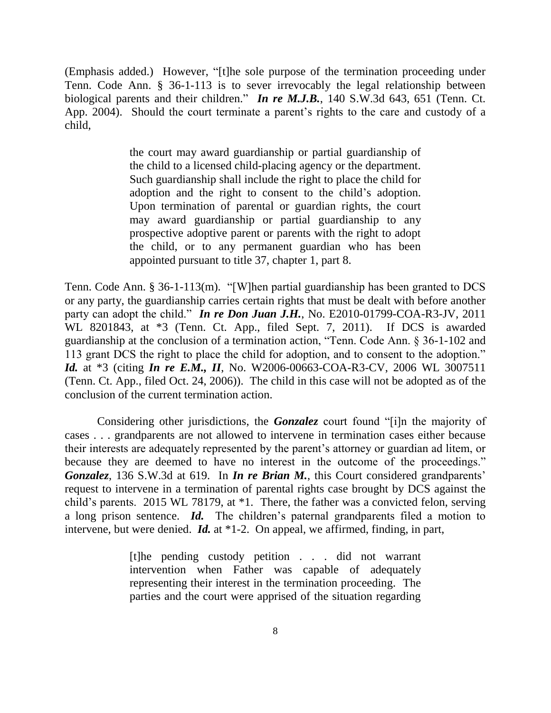(Emphasis added.) However, "[t]he sole purpose of the termination proceeding under Tenn. Code Ann. § 36-1-113 is to sever irrevocably the legal relationship between biological parents and their children." *In re M.J.B.*, 140 S.W.3d 643, 651 (Tenn. Ct. App. 2004). Should the court terminate a parent"s rights to the care and custody of a child,

> the court may award guardianship or partial guardianship of the child to a licensed child-placing agency or the department. Such guardianship shall include the right to place the child for adoption and the right to consent to the child"s adoption. Upon termination of parental or guardian rights, the court may award guardianship or partial guardianship to any prospective adoptive parent or parents with the right to adopt the child, or to any permanent guardian who has been appointed pursuant to title 37, chapter 1, part 8.

Tenn. Code Ann. § 36-1-113(m). "[W]hen partial guardianship has been granted to DCS or any party, the guardianship carries certain rights that must be dealt with before another party can adopt the child." *In re Don Juan J.H.*, No. E2010-01799-COA-R3-JV, 2011 WL 8201843, at \*3 (Tenn. Ct. App., filed Sept. 7, 2011). If DCS is awarded guardianship at the conclusion of a termination action, "Tenn. Code Ann. § 36-1-102 and 113 grant DCS the right to place the child for adoption, and to consent to the adoption." *Id.* at \*3 (citing *In re E.M., II*, No. W2006-00663-COA-R3-CV, 2006 WL 3007511 (Tenn. Ct. App., filed Oct. 24, 2006)). The child in this case will not be adopted as of the conclusion of the current termination action.

Considering other jurisdictions, the *Gonzalez* court found "[i]n the majority of cases . . . grandparents are not allowed to intervene in termination cases either because their interests are adequately represented by the parent"s attorney or guardian ad litem, or because they are deemed to have no interest in the outcome of the proceedings." *Gonzalez*, 136 S.W.3d at 619. In *In re Brian M.*, this Court considered grandparents' request to intervene in a termination of parental rights case brought by DCS against the child"s parents. 2015 WL 78179, at \*1. There, the father was a convicted felon, serving a long prison sentence. *Id.* The children"s paternal grandparents filed a motion to intervene, but were denied. *Id.* at \*1-2. On appeal, we affirmed, finding, in part,

> [t]he pending custody petition . . . did not warrant intervention when Father was capable of adequately representing their interest in the termination proceeding. The parties and the court were apprised of the situation regarding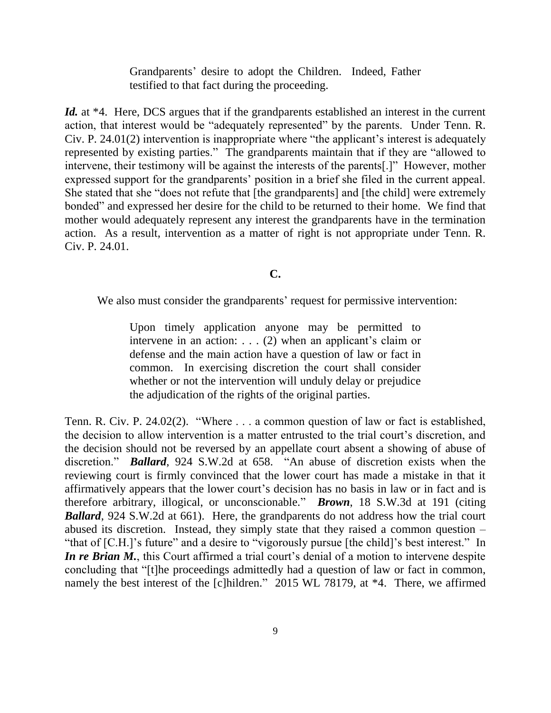Grandparents" desire to adopt the Children. Indeed, Father testified to that fact during the proceeding.

Id. at \*4. Here, DCS argues that if the grandparents established an interest in the current action, that interest would be "adequately represented" by the parents. Under Tenn. R. Civ. P. 24.01(2) intervention is inappropriate where "the applicant"s interest is adequately represented by existing parties." The grandparents maintain that if they are "allowed to intervene, their testimony will be against the interests of the parents[.]" However, mother expressed support for the grandparents' position in a brief she filed in the current appeal. She stated that she "does not refute that [the grandparents] and [the child] were extremely bonded" and expressed her desire for the child to be returned to their home. We find that mother would adequately represent any interest the grandparents have in the termination action. As a result, intervention as a matter of right is not appropriate under Tenn. R. Civ. P. 24.01.

# **C.**

We also must consider the grandparents' request for permissive intervention:

Upon timely application anyone may be permitted to intervene in an action:  $\ldots$  (2) when an applicant's claim or defense and the main action have a question of law or fact in common. In exercising discretion the court shall consider whether or not the intervention will unduly delay or prejudice the adjudication of the rights of the original parties.

Tenn. R. Civ. P. 24.02(2). "Where . . . a common question of law or fact is established, the decision to allow intervention is a matter entrusted to the trial court"s discretion, and the decision should not be reversed by an appellate court absent a showing of abuse of discretion." *Ballard*, 924 S.W.2d at 658. "An abuse of discretion exists when the reviewing court is firmly convinced that the lower court has made a mistake in that it affirmatively appears that the lower court"s decision has no basis in law or in fact and is therefore arbitrary, illogical, or unconscionable." *Brown*, 18 S.W.3d at 191 (citing *Ballard*, 924 S.W.2d at 661). Here, the grandparents do not address how the trial court abused its discretion. Instead, they simply state that they raised a common question – "that of [C.H.]"s future" and a desire to "vigorously pursue [the child]"s best interest." In *In re Brian M.*, this Court affirmed a trial court's denial of a motion to intervene despite concluding that "[t]he proceedings admittedly had a question of law or fact in common, namely the best interest of the [c]hildren." 2015 WL 78179, at \*4. There, we affirmed